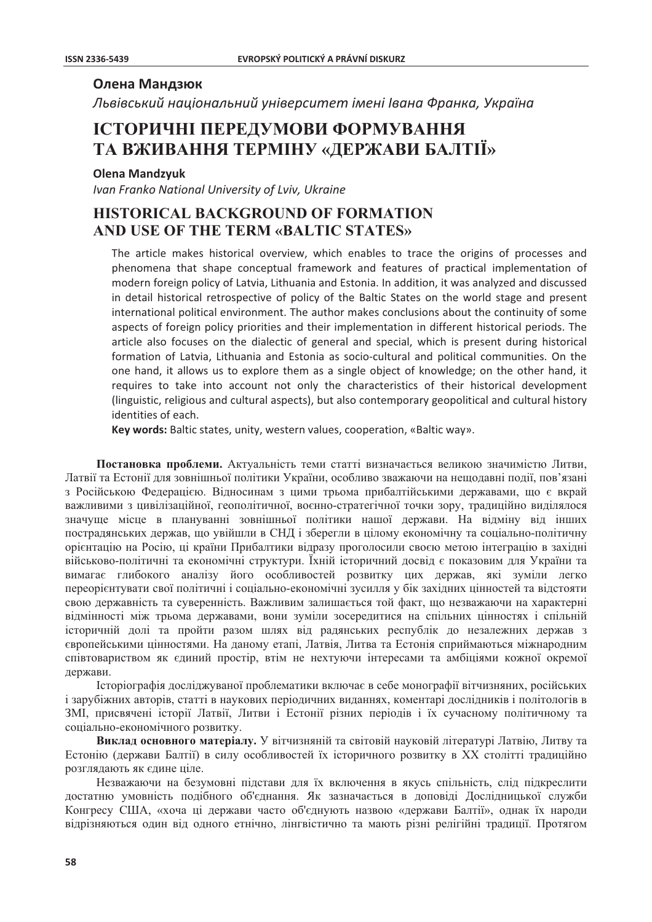## Олена Мандзюк

Львівський національний університет імені Івана Франка, Україна

# ІСТОРИЧНІ ПЕРЕДУМОВИ ФОРМУВАННЯ ТА ВЖИВАННЯ ТЕРМІНУ «ДЕРЖАВИ БАЛТІІ»

### **Olena Mandzyuk**

Ivan Franko National University of Lviv, Ukraine

## **HISTORICAL BACKGROUND OF FORMATION** AND USE OF THE TERM «BALTIC STATES»

The article makes historical overview, which enables to trace the origins of processes and phenomena that shape conceptual framework and features of practical implementation of modern foreign policy of Latvia, Lithuania and Estonia. In addition, it was analyzed and discussed in detail historical retrospective of policy of the Baltic States on the world stage and present international political environment. The author makes conclusions about the continuity of some aspects of foreign policy priorities and their implementation in different historical periods. The article also focuses on the dialectic of general and special, which is present during historical formation of Latvia, Lithuania and Estonia as socio-cultural and political communities. On the one hand, it allows us to explore them as a single object of knowledge; on the other hand, it requires to take into account not only the characteristics of their historical development (linguistic, religious and cultural aspects), but also contemporary geopolitical and cultural history identities of each.

Key words: Baltic states, unity, western values, cooperation, «Baltic way».

Постановка проблеми. Актуальність теми статті визначається великою значимістю Литви, Латвії та Естонії для зовнішньої політики України, особливо зважаючи на нещодавні події, пов'язані з Російською Федерацією. Відносинам з цими трьома прибалтійськими державами, що є вкрай важливими з цивілізаційної, геополітичної, воєнно-стратегічної точки зору, традиційно виділялося значуще місце в плануванні зовнішньої політики нашої держави. На відміну від інших пострадянських держав, що увійшли в СНД і зберегли в цілому економічну та соціально-політичну орієнтацію на Росію, ці країни Прибалтики відразу проголосили своєю метою інтеграцію в західні військово-політичні та економічні структури. Їхній історичний досвід є показовим для України та вимагає глибокого аналізу його особливостей розвитку цих держав, які зуміли легко переорієнтувати свої політичні і соціально-економічні зусилля у бік західних цінностей та відстояти свою державність та суверенність. Важливим залишається той факт, що незважаючи на характерні відмінності між трьома державами, вони зуміли зосередитися на спільних цінностях і спільній історичній долі та пройти разом шлях від радянських республік до незалежних держав з європейськими цінностями. На даному етапі, Латвія, Литва та Естонія сприймаються міжнародним співтовариством як єдиний простір, втім не нехтуючи інтересами та амбіціями кожної окремої держави.

Історіографія досліджуваної проблематики включає в себе монографії вітчизняних, російських і зарубіжних авторів, статті в наукових періодичних виданнях, коментарі дослідників і політологів в ЗМІ, присвячені історії Латвії, Литви і Естонії різних періодів і їх сучасному політичному та соціально-економічного розвитку.

Виклад основного матеріалу. У вітчизняній та світовій науковій літературі Латвію, Литву та Естонію (держави Балтії) в силу особливостей їх історичного розвитку в XX столітті традиційно розглядають як єдине ціле.

Незважаючи на безумовні підстави для їх включення в якусь спільність, слід підкреслити достатню умовність подібного об'єднання. Як зазначається в доповіді Дослідницької служби Конгресу США, «хоча ці держави часто об'єднують назвою «держави Балтії», однак їх народи вілрізняються один від одного етнічно, лінгвістично та мають різні релігійні традиції. Протягом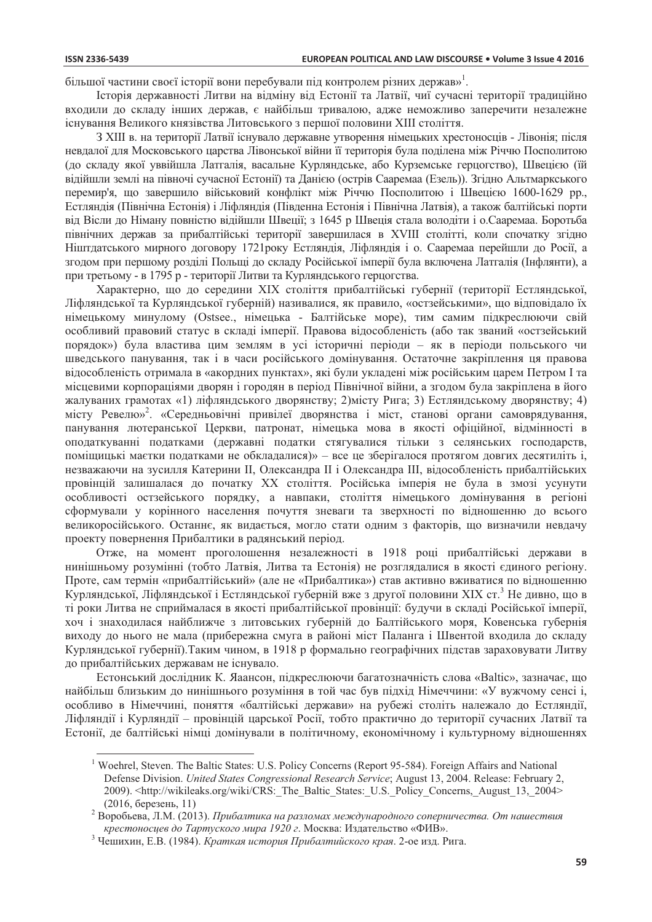більшої частини своєї історії вони перебували піл контролем різних держав»<sup>1</sup>.

Історія державності Литви на відміну від Естонії та Латвії, чиї сучасні території традиційно входили до складу інших держав, є найбільш тривалою, адже неможливо заперечити незалежне існування Великого князівства Литовського з першої половини XIII століття.

З XIII в. на території Латвії існувало державне утворення німецьких хрестоносців - Лівонія; після невдалої для Московського царства Лівонської війни її територія була поділена між Річчю Посполитою (до складу якої уввійшла Латгалія, васальне Курляндське, або Курземське герцогство), Швецією (їй відійшли землі на півночі сучасної Естонії) та Данією (острів Сааремаа (Езель)). Згідно Альтмаркського перемир'я, що завершило військовий конфлікт між Річчю Посполитою і Швецією 1600-1629 рр., Естляндія (Північна Естонія) і Ліфляндія (Південна Естонія і Північна Латвія), а також балтійські порти від Вісли до Німану повністю відійшли Швеції; з 1645 р Швеція стала володіти і о.Сааремаа. Боротьба північних держав за прибалтійські території завершилася в XVIII столітті, коли спочатку згідно Ніштдатського мирного договору 1721 року Естляндія, Ліфляндія і о. Сааремаа перейшли до Росії, а згодом при першому розділі Польщі до складу Російської імперії була включена Латгалія (Інфлянти), а при третьому - в 1795 р - території Литви та Курляндського герцогства.

Характерно, що до середини XIX століття прибалтійські губернії (території Естляндської, Ліфляндської та Курляндської губерній) називалися, як правило, «остзейськими», що відповідало їх німецькому минулому (Ostsee., німецька - Балтійське море), тим самим підкреслюючи свій особливий правовий статус в складі імперії. Правова відособленість (або так званий «остзейський порядок») була властива цим землям в усі історичні періоди - як в періоди польського чи шведського панування, так і в часи російського домінування. Остаточне закріплення ця правова відособленість отримала в «акордних пунктах», які були укладені між російським царем Петром I та місцевими корпораціями дворян і городян в період Північної війни, а згодом була закріплена в його жалуваних грамотах «1) ліфляндського дворянству; 2)місту Рига; 3) Естляндському дворянству; 4) місту Ревелю»<sup>2</sup>. «Середньовічні привілеї дворянства і міст, станові органи самоврядування, панування лютеранської Церкви, патронат, німецька мова в якості офіційної, відмінності в оподаткуванні податками (державні податки стягувалися тільки з селянських господарств, поміщицькі маєтки податками не обкладалися)» – все це зберігалося протягом довгих десятиліть і, незважаючи на зусилля Катерини II, Олександра II і Олександра III, відособленість прибалтійських провінцій залишалася до початку XX століття. Російська імперія не була в змозі усунути особливості остзейського порядку, а навпаки, століття німецького домінування в регіоні сформували у корінного населення почуття зневаги та зверхності по відношенню до всього великоросійського. Останнє, як видається, могло стати одним з факторів, що визначили невдачу проекту повернення Прибалтики в радянський період.

Отже, на момент проголошення незалежності в 1918 році прибалтійські держави в нинішньому розумінні (тобто Латвія, Литва та Естонія) не розглядалися в якості єдиного регіону. Проте, сам термін «прибалтійський» (але не «Прибалтика») став активно вживатися по відношенню Курляндської, Ліфляндської і Естляндської губерній вже з другої половини XIX ст.<sup>3</sup> Не дивно, що в ті роки Литва не сприймалася в якості прибалтійської провінції: булучи в склалі Російської імперії, хоч і знаходилася найближче з литовських губерній до Балтійського моря, Ковенська губернія виходу до нього не мала (прибережна смуга в районі міст Паланга і Швентой входила до складу Курляндської губернії). Таким чином, в 1918 р формально географічних підстав зараховувати Литву до прибалтійських державам не існувало.

Естонський дослідник К. Яаансон, підкреслюючи багатозначність слова «Baltic», зазначає, що найбільш близьким до нинішнього розуміння в той час був підхід Німеччини: «У вужчому сенсі і, особливо в Німеччині, поняття «балтійські держави» на рубежі століть належало до Естляндії, Ліфлянлії і Курлянлії – провінцій царської Росії, тобто практично до території сучасних Латвії та Естонії, де балтійські німці домінували в політичному, економічному і культурному відношеннях

<sup>&</sup>lt;sup>1</sup> Woehrel. Steven. The Baltic States: U.S. Policy Concerns (Report 95-584). Foreign Affairs and National Defense Division. United States Congressional Research Service; August 13, 2004. Release: February 2, 2009). <http://wikileaks.org/wiki/CRS: The Baltic States: U.S. Policy Concerns, August 13, 2004>  $(2016, 6e$ резень, 11)

 $\overline{c}$ Воробъева, Л.М. (2013). Прибалтика на разломах международного соперничества. От нашествия крестоносцев до Тартуского мира 1920 г. Москва: Издательство «ФИВ».

<sup>&</sup>lt;sup>3</sup> Чешихин, Е.В. (1984). Краткая история Прибалтийского края. 2-ое изд. Рига.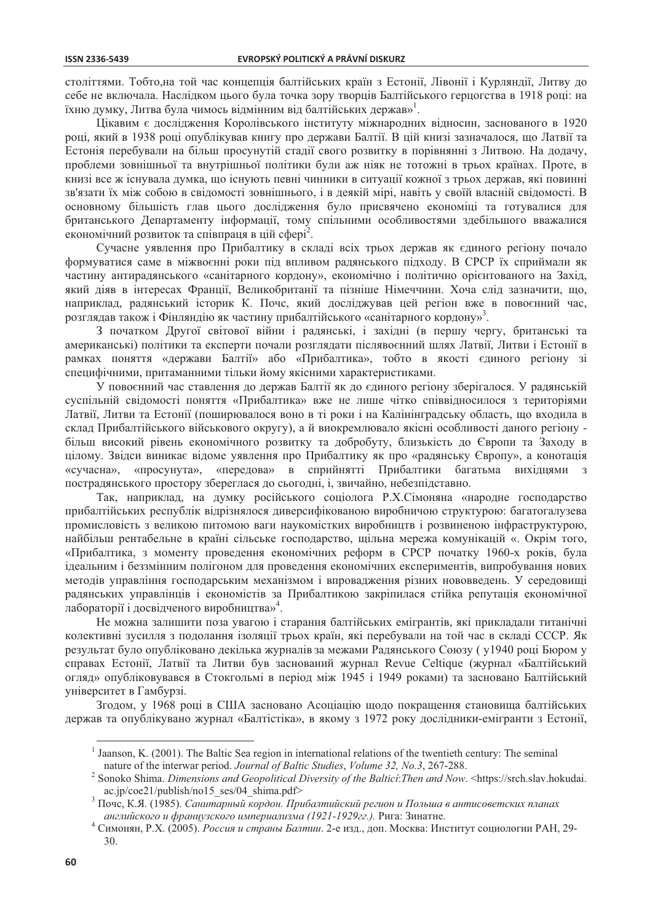століттями. Тобто, на той час концепція балтійських країн з Естонії, Лівонії і Курляндії, Литву до себе не включала. Наслідком цього була точка зору творців Балтійського герцогства в 1918 році: на їхню думку, Литва була чимось відмінним від балтійських держав»<sup>1</sup>.

Цікавим є дослідження Королівського інституту міжнародних відносин, заснованого в 1920 році, який в 1938 році опублікував книгу про держави Балтії. В цій книзі зазначалося, що Латвії та Естонія перебували на більш просунутій стадії свого розвитку в порівнянні з Литвою. На додачу, проблеми зовнішньої та внутрішньої політики були аж ніяк не тотожні в трьох країнах. Проте, в книзі все ж існувала думка, що існують певні чинники в ситуації кожної з трьох держав, які повинні зв'язати їх між собою в свідомості зовнішнього, і в деякій мірі, навіть у своїй власній свідомості. В основному більшість глав цього дослідження було присвячено економіці та готувалися для британського Департаменту інформації, тому спільними особливостями здебільшого вважалися економічний розвиток та співпраця в цій сфері<sup>2</sup>.

Сучасне уявлення про Прибалтику в складі всіх трьох держав як єдиного регіону почало формуватися саме в міжвоєнні роки під впливом радянського підходу. В СРСР їх сприймали як частину антирадянського «санітарного кордону», економічно і політично орієнтованого на Захід, який діяв в інтересах Франції, Великобританії та пізніше Німеччини. Хоча слід зазначити, що, наприклад, радянський історик К. Почс, який досліджував цей регіон вже в повоєнний час, розглядав також і Фінляндію як частину прибалтійського «санітарного кордону»<sup>3</sup>.

З початком Другої світової війни і радянські, і західні (в першу чергу, британські та американські) політики та експерти почали розглядати післявоєнний шлях Латвії, Литви і Естонії в рамках поняття «держави Балтії» або «Прибалтика», тобто в якості єдиного регіону зі специфічними, притаманними тільки йому якісними характеристиками.

У повоєнний час ставлення до держав Балтії як до єдиного регіону зберігалося. У радянській суспільній свідомості поняття «Прибалтика» вже не лише чітко співвідносилося з територіями Латвії, Литви та Естонії (поширювалося воно в ті роки і на Калінінградську область, що входила в склад Прибалтійського військового округу), а й виокремлювало якісні особливості даного регіону більш високий рівень економічного розвитку та добробуту, близькість до Європи та Заходу в цілому. Звідси виникає відоме уявлення про Прибалтику як про «радянську Європу», а конотація «передова» в сприйнятті Прибалтики багатьма вихідцями «сучасна», «просунута», пострадянського простору збереглася до сьогодні, і, звичайно, небезпідставно.

Так, наприклад, на думку російського соціолога Р.Х.Сімоняна «народне господарство прибалтійських республік відрізнялося диверсифікованою виробничою структурою: багатогалузева промисловість з великою питомою ваги наукомістких виробництв і розвиненою інфраструктурою, найбільш рентабельне в країні сільське господарство, щільна мережа комунікацій «. Окрім того, «Прибалтика, з моменту проведення економічних реформ в СРСР початку 1960-х років, була ідеальним і беззмінним полігоном для проведення економічних експериментів, випробування нових методів управління господарським механізмом і впровадження різних нововведень. У середовищі радянських управлінців і економістів за Прибалтикою закріпилася стійка репутація економічної лабораторії і досвідченого виробництва»<sup>4</sup>.

Не можна залишити поза увагою і старання балтійських емігрантів, які прикладали титанічні колективні зусилля з подолання ізоляції трьох країн, які перебували на той час в складі СССР. Як результат було опубліковано декілька журналів за межами Радянського Союзу (у1940 році Бюром у справах Естонії, Латвії та Литви був заснований журнал Revue Celtique (журнал «Балтійський огляд» опубліковувався в Стокгольмі в період між 1945 і 1949 роками) та засновано Балтійський університет в Гамбурзі.

Згодом, у 1968 році в США засновано Асоціацію щодо покращення становища балтійських лержав та опублікувано журнал «Балтістіка», в якому з 1972 року лослілники-емігранти з Естонії,

 $<sup>1</sup>$  Jaanson, K. (2001). The Baltic Sea region in international relations of the twentieth century: The seminal</sup> nature of the interwar period. Journal of Baltic Studies, Volume 32, No.3, 267-288.

 $\overline{c}$ Sonoko Shima. Dimensions and Geopolitical Diversity of the Baltici: Then and Now. <https://srch.slav.hokudai. ac.jp/coe21/publish/no15 ses/04 shima.pdf>

Почс, К.Я. (1985). Санитарный кордон. Прибалтийский регион и Польша в антисоветских планах английского и французского империализма (1921-1929гг.). Рига: Зинатне.

Симонян, Р.Х. (2005). Россия и страны Балтии. 2-е изд., доп. Москва: Институт социологии РАН, 29-30.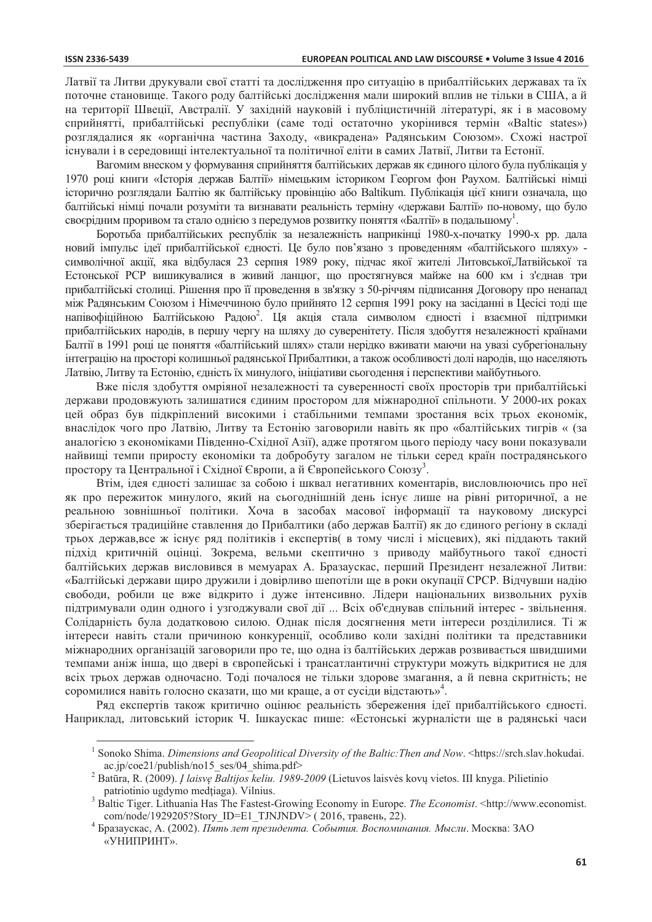Латвії та Литви лрукували свої статті та лослілження про ситуацію в прибалтійських лержавах та їх поточне становище. Такого роду балтійські дослідження мали широкий вплив не тільки в США, а й на території Швеції, Австралії. У західній науковій і публіцистичній літературі, як і в масовому сприйнятті, прибалтійські республіки (саме тоді остаточно укорінився термін «Baltic states») розглядалися як «органічна частина Заходу, «викрадена» Радянським Союзом». Схожі настрої існували і в середовищі інтелектуальної та політичної еліти в самих Латвії, Литви та Естонії.

Вагомим внеском у формування сприйняття балтійських держав як єдиного цілого була публікація у 1970 році книги «Історія держав Балтії» німецьким істориком Георгом фон Раухом. Балтійські німці історично розглядали Балтію як балтійську провінцію або Baltikum. Публікація цієї книги означала, що балтійські німці почали розуміти та визнавати реальність терміну «держави Балтії» по-новому, що було своєрідним проривом та стало однією з передумов розвитку поняття «Балтії» в подальшому<sup>1</sup>.

Боротьба прибалтійських республік за незалежність наприкінці 1980-х-початку 1990-х рр. дала новий імпульс ідеї прибалтійської єдності. Це було пов'язано з проведенням «балтійського шляху» символічної акції, яка відбулася 23 серпня 1989 року, підчас якої жителі Литовської, Латвійської та Естонської РСР вишикувалися в живий ланцюг, що простягнувся майже на 600 км і з'єднав три прибалтійські столиці. Рішення про її проведення в зв'язку з 50-річчям підписання Договору про ненапад між Радянським Союзом і Німеччиною було прийнято 12 серпня 1991 року на засіданні в Цесісі тоді ще напівофіційною Балтійською Радою<sup>2</sup>. Ця акція стала символом єдності і взаємної підтримки прибалтійських народів, в першу чергу на шляху до суверенітету. Після здобуття незалежності країнами Балтії в 1991 році це поняття «балтійський шлях» стали нерідко вживати маючи на увазі субрегіональну інтеграцію на просторі колишньої радянської Прибалтики, а також особливості долі народів, що населяють Латвію, Литву та Естонію, єдність їх минулого, ініціативи сьогодення і перспективи майбутнього.

Вже після здобуття омріяної незалежності та суверенності своїх просторів три прибалтійські держави продовжують залишатися єдиним простором для міжнародної спільноти. У 2000-их роках цей образ був підкріплений високими і стабільними темпами зростання всіх трьох економік, внаслідок чого про Латвію, Литву та Естонію заговорили навіть як про «балтійських тигрів « (за аналогією з економіками Південно-Східної Азії), адже протягом цього періоду часу вони показували найвищі темпи приросту економіки та добробуту загалом не тільки серед країн пострадянського простору та Центральної і Східної Європи, а й Європейського Союзу<sup>3</sup>.

Втім, ідея єдності залишає за собою і шквал негативних коментарів, висловлюючись про неї як про пережиток минулого, який на сьогоднішній день існує лише на рівні риторичної, а не реальною зовнішньої політики. Хоча в засобах масової інформації та науковому дискурсі зберігається традиційне ставлення до Прибалтики (або держав Балтії) як до єдиного регіону в складі трьох держав, все ж існує ряд політиків і експертів( в тому числі і місцевих), які піддають такий підхід критичній оцінці. Зокрема, вельми скептично з приводу майбутнього такої єдності балтійських держав висловився в мемуарах А. Бразаускас, перший Президент незалежної Литви: «Балтійські держави щиро дружили і довірливо шепотіли ще в роки окупації СРСР. Відчувши надію свободи, робили це вже відкрито і дуже інтенсивно. Лідери національних визвольних рухів пілтримували один одного і узгоджували свої дії ... Всіх об'єднував спільний інтерес - звільнення. Солідарність була додатковою силою. Однак після досягнення мети інтереси розділилися. Ті ж інтереси навіть стали причиною конкуренції, особливо коли західні політики та представники міжнародних організацій заговорили про те, що одна із балтійських держав розвивається швидшими темпами аніж інша, що двері в європейські і трансатлантичні структури можуть відкритися не для всіх трьох держав одночасно. Тоді почалося не тільки здорове змагання, а й певна скритність; не соромилися навіть голосно сказати, що ми краще, а от сусіди відстають»<sup>4</sup>.

Ряд експертів також критично оцінює реальність збереження ідеї прибалтійського єдності. Наприклад, литовський історик Ч. Ішкаускас пише: «Естонські журналісти ще в радянські часи

 $^1$  Sonoko Shima. Dimensions and Geopolitical Diversity of the Baltic: Then and Now. <https://srch.slav.hokudai.  $ac.jp/ce21/public/no15$  ses/04 shima.pdf>

 $\overline{c}$ Batūra, R. (2009). *I laisvę Baltijos keliu. 1989-2009* (Lietuvos laisvės kovų vietos. III knyga. Pilietinio patriotinio ugdymo medțiaga). Vilnius.

Baltic Tiger. Lithuania Has The Fastest-Growing Economy in Europe. The Economist. <http://www.economist. com/node/1929205?Story ID=E1 TJNJNDV> (2016, травень, 22).

Бразаускас, А. (2002). Пять лет президента. События. Воспоминания. Мысли. Москва: ЗАО «УНИПРИНТ».